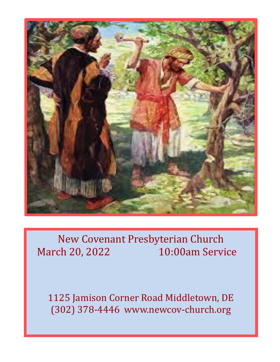

# New Covenant Presbyterian Church March 20, 2022 10:00am Service

1125 Jamison Corner Road Middletown, DE (302) 378-4446 www.newcov-church.org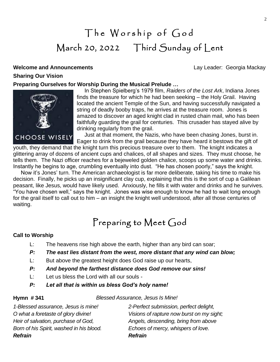# The Worship of God March 20, 2022 Third Sunday of Lent

## **Welcome and Announcements Contract Contract Contract Contract Contract Contract Contract Contract Contract Contract Contract Contract Contract Contract Contract Contract Contract Contract Contract Contract Contract Cont Sharing Our Vision**

## **Preparing Ourselves for Worship During the Musical Prelude …**



 In Stephen Spielberg's 1979 film, *Raiders of the Lost Ark*, Indiana Jones finds the treasure for which he had been seeking – the Holy Grail. Having located the ancient Temple of the Sun, and having successfully navigated a string of deadly booby traps, he arrives at the treasure room. Jones is amazed to discover an aged knight clad in rusted chain mail, who has been faithfully guarding the grail for centuries. This crusader has stayed alive by drinking regularly from the grail.

 Just at that moment, the Nazis, who have been chasing Jones, burst in. Eager to drink from the grail because they have heard it bestows the gift of

youth, they demand that the knight turn this precious treasure over to them. The knight indicates a glittering array of dozens of ancient cups and chalices, of all shapes and sizes. They must choose, he tells them. The Nazi officer reaches for a bejeweled golden chalice, scoops up some water and drinks. Instantly he begins to age, crumbling eventually into dust. "He has chosen poorly," says the knight.

 Now it's Jones' turn. The American archaeologist is far more deliberate, taking his time to make his decision. Finally, he picks up an insignificant clay cup, explaining that this is the sort of cup a Galilean peasant, like Jesus, would have likely used. Anxiously, he fills it with water and drinks and he survives. "You have chosen well," says the knight. Jones was wise enough to know he had to wait long enough for the grail itself to call out to him – an insight the knight well understood, after all those centuries of waiting.

# Preparing to Meet God

## **Call to Worship**

- L: The heavens rise high above the earth, higher than any bird can soar;
- *P: The east lies distant from the west, more distant that any wind can blow;*
- L: But above the greatest height does God raise up our hearts,
- *P: And beyond the farthest distance does God remove our sins!*
- L: Let us bless the Lord with all our souls -

## *P: Let all that is within us bless God's holy name!*

**Hymn # 341** *Blessed Assurance, Jesus Is Mine!*

| Echoes of mercy, whispers of love.        |
|-------------------------------------------|
|                                           |
| Angels, descending, bring from above      |
| Visions of rapture now burst on my sight; |
| 2-Perfect submission, perfect delight,    |
|                                           |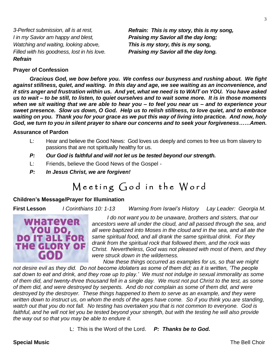*I in my Savior am happy and blest, Praising my Savior all the day long; Watching and waiting, looking above, This is my story, this is my song, Filled with his goodness, lost in his love. Praising my Savior all the day long. Refrain*

*3-Perfect submission, all is at rest, Refrain: This is my story, this is my song,*

### **Prayer of Confession**

*Gracious God, we bow before you. We confess our busyness and rushing about. We fight against stillness, quiet, and waiting. In this day and age, we see waiting as an inconvenience, and it stirs anger and frustration within us. And yet, what we need is to WAIT on YOU. You have asked us to wait – to be still, to listen, to quiet ourselves and to wait some more. It is in those moments when we sit waiting that we are able to hear you – to feel you near us – and to experience your sweet presence. Slow us down, O God. Help us to relish stillness, to love quiet, and to embrace waiting on you. Thank you for your grace as we put this way of living into practice. And now, holy God, we turn to you in silent prayer to share our concerns and to seek your forgiveness……Amen.*

### **Assurance of Pardon**

- L: Hear and believe the Good News: God loves us deeply and comes to free us from slavery to passions that are not spiritually healthy for us.
- *P: Our God is faithful and will not let us be tested beyond our strength.*
- L: Friends, believe the Good News of the Gospel -
- *P: In Jesus Christ, we are forgiven!*

## Meeting God in the Word

### **Children's Message/Prayer for Illumination**

**First Lesson** *I Corinthians 10: 1-13 Warning from Israel's History Lay Leader: Georgia M.*



 *I do not want you to be unaware, brothers and sisters, that our ancestors were all under the cloud, and all passed through the sea, and all were baptized into Moses in the cloud and in the sea, and all ate the same spiritual food, and all drank the same spiritual drink. For they drank from the spiritual rock that followed them, and the rock was Christ. Nevertheless, God was not pleased with most of them, and they were struck down in the wilderness.*

 *Now these things occurred as examples for us, so that we might not desire evil as they did. Do not become idolaters as some of them did; as it is written, 'The people sat down to eat and drink, and they rose up to play.' We must not indulge in sexual immorality as some of them did, and twenty-three thousand fell in a single day. We must not put Christ to the test, as some of them did, and were destroyed by serpents. And do not complain as some of them did, and were destroyed by the destroyer. These things happened to them to serve as an example, and they were written down to instruct us, on whom the ends of the ages have come. So if you think you are standing, watch out that you do not fall. No testing has overtaken you that is not common to everyone. God is*  faithful, and he will not let you be tested beyond your strength, but with the testing he will also provide *the way out so that you may be able to endure it.*

L: This is the Word of the Lord. *P: Thanks be to God.*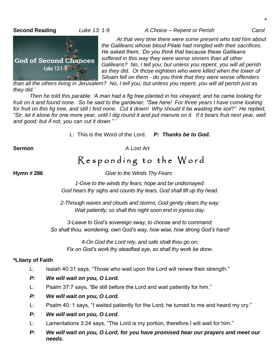**Second Reading** *Luke 13: 1-9 A Choice – Repent or Perish Carol*

**God of Second Chances**  $-Luke 13:1-9$ 

 *At that very time there were some present who told him about the Galileans whose blood Pilate had mingled with their sacrifices. He asked them, 'Do you think that because these Galileans suffered in this way they were worse sinners than all other Galileans? No, I tell you; but unless you repent, you will all perish as they did. Or those eighteen who were killed when the tower of Siloam fell on them - do you think that they were worse offenders* 

*than all the others living in Jerusalem? No, I tell you; but unless you repent, you will all perish just as they did.'*

*Then he told this parable: 'A man had a fig tree planted in his vineyard; and he came looking for fruit on it and found none. So he said to the gardener, "See here! For three years I have come looking for fruit on this fig tree, and still I find none. Cut it down! Why should it be wasting the soil?" He replied,*  "Sir, let it alone for one more year, until I dig round it and put manure on it. If it bears fruit next year, well *and good; but if not, you can cut it down." '*

L: This is the Word of the Lord. *P: Thanks be to God.*

**Sermon** *A Lost Art*

## Responding to the Word

**Hymn # 286** *Give to the Winds Thy Fears*

*1-Give to the winds thy fears; hope and be undismayed: God hears thy sighs and counts thy tears, God shall lift up thy head.*

*2-Through waves and clouds and storms, God gently clears thy way; Wait patiently; so shall this night soon end in joyous day.*

*3-Leave to God's sovereign sway, to choose and to command; So shalt thou, wondering, own God's way, how wise, how strong God's hand!*

*4-On God the Lord rely, and safe shalt thou go on; Fix on God's work thy steadfast eye, so shall thy work be done.*

## **\*Litany of Faith**

- L: Isaiah 40:31 says, "Those who wait upon the Lord will renew their strength."
- *P: We will wait on you, O Lord.*
- L: Psalm 37:7 says, "Be still before the Lord and wait patiently for him."
- *P: We will wait on you, O Lord.*
- L: Psalm 40: 1 says, "I waited patiently for the Lord; he turned to me and heard my cry."
- *P: We will wait on you, O Lord.*
- L: Lamentations 3:24 says, "The Lord is my portion, therefore I will wait for him."
- *P: We will wait on you, O Lord, for you have promised hear our prayers and meet our needs.*